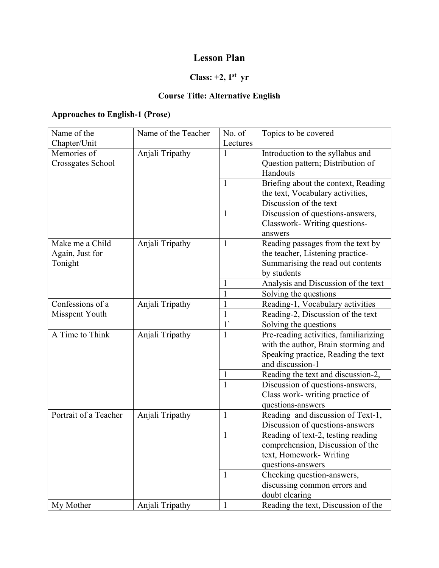## **Lesson Plan**

## **Class: +2, 1st yr**

### **Course Title: Alternative English**

### **Approaches to English-1 (Prose)**

| Name of the           | Name of the Teacher | No. of       | Topics to be covered                  |
|-----------------------|---------------------|--------------|---------------------------------------|
| Chapter/Unit          |                     | Lectures     |                                       |
| Memories of           | Anjali Tripathy     | 1            | Introduction to the syllabus and      |
| Crossgates School     |                     |              | Question pattern; Distribution of     |
|                       |                     |              | Handouts                              |
|                       |                     | $\mathbf{1}$ | Briefing about the context, Reading   |
|                       |                     |              | the text, Vocabulary activities,      |
|                       |                     |              | Discussion of the text                |
|                       |                     | $\mathbf{1}$ | Discussion of questions-answers,      |
|                       |                     |              | Classwork-Writing questions-          |
|                       |                     |              | answers                               |
| Make me a Child       | Anjali Tripathy     | $\mathbf{1}$ | Reading passages from the text by     |
| Again, Just for       |                     |              | the teacher, Listening practice-      |
| Tonight               |                     |              | Summarising the read out contents     |
|                       |                     |              | by students                           |
|                       |                     |              | Analysis and Discussion of the text   |
|                       |                     | $\mathbf{1}$ | Solving the questions                 |
| Confessions of a      | Anjali Tripathy     | 1            | Reading-1, Vocabulary activities      |
| Misspent Youth        |                     | 1            | Reading-2, Discussion of the text     |
|                       |                     | $1^{\prime}$ | Solving the questions                 |
| A Time to Think       | Anjali Tripathy     | 1            | Pre-reading activities, familiarizing |
|                       |                     |              | with the author, Brain storming and   |
|                       |                     |              | Speaking practice, Reading the text   |
|                       |                     |              | and discussion-1                      |
|                       |                     |              | Reading the text and discussion-2,    |
|                       |                     | $\mathbf{1}$ | Discussion of questions-answers,      |
|                       |                     |              | Class work- writing practice of       |
|                       |                     |              | questions-answers                     |
| Portrait of a Teacher | Anjali Tripathy     | $\mathbf{1}$ | Reading and discussion of Text-1,     |
|                       |                     |              | Discussion of questions-answers       |
|                       |                     | $\mathbf{1}$ | Reading of text-2, testing reading    |
|                       |                     |              | comprehension, Discussion of the      |
|                       |                     |              | text, Homework- Writing               |
|                       |                     |              | questions-answers                     |
|                       |                     | $\mathbf{1}$ | Checking question-answers,            |
|                       |                     |              | discussing common errors and          |
|                       |                     |              | doubt clearing                        |
| My Mother             | Anjali Tripathy     | $\mathbf{1}$ | Reading the text, Discussion of the   |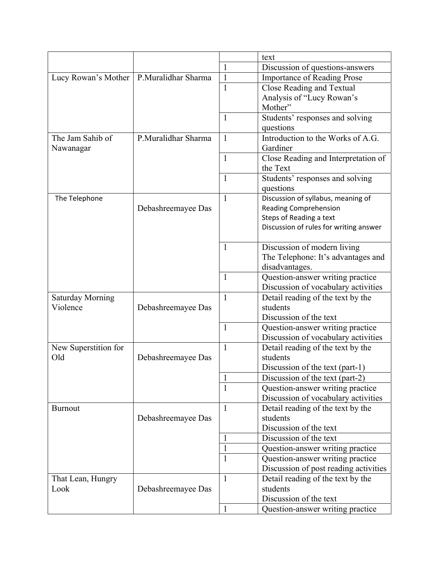|                         |                     |              | text                                   |
|-------------------------|---------------------|--------------|----------------------------------------|
|                         |                     | $\mathbf{1}$ | Discussion of questions-answers        |
| Lucy Rowan's Mother     | P.Muralidhar Sharma | $\mathbf{1}$ | <b>Importance of Reading Prose</b>     |
|                         |                     | $\mathbf{1}$ | <b>Close Reading and Textual</b>       |
|                         |                     |              | Analysis of "Lucy Rowan's              |
|                         |                     |              | Mother"                                |
|                         |                     | $\mathbf{1}$ | Students' responses and solving        |
|                         |                     |              | questions                              |
| The Jam Sahib of        | P.Muralidhar Sharma | $\mathbf{1}$ | Introduction to the Works of A.G.      |
| Nawanagar               |                     |              | Gardiner                               |
|                         |                     | $\mathbf{1}$ | Close Reading and Interpretation of    |
|                         |                     |              | the Text                               |
|                         |                     | $\mathbf{1}$ | Students' responses and solving        |
|                         |                     |              | questions                              |
| The Telephone           |                     | $\mathbf{1}$ | Discussion of syllabus, meaning of     |
|                         | Debashreemayee Das  |              | <b>Reading Comprehension</b>           |
|                         |                     |              | Steps of Reading a text                |
|                         |                     |              | Discussion of rules for writing answer |
|                         |                     |              |                                        |
|                         |                     | $\mathbf{1}$ | Discussion of modern living            |
|                         |                     |              | The Telephone: It's advantages and     |
|                         |                     |              | disadvantages.                         |
|                         |                     | 1            | Question-answer writing practice       |
|                         |                     |              | Discussion of vocabulary activities    |
| <b>Saturday Morning</b> |                     | $\mathbf{1}$ | Detail reading of the text by the      |
| Violence                | Debashreemayee Das  |              | students                               |
|                         |                     |              | Discussion of the text                 |
|                         |                     | $\mathbf{1}$ | Question-answer writing practice       |
|                         |                     |              | Discussion of vocabulary activities    |
| New Superstition for    |                     | $\mathbf{1}$ | Detail reading of the text by the      |
| Old                     | Debashreemayee Das  |              | students                               |
|                         |                     |              | Discussion of the text (part-1)        |
|                         |                     | 1            | Discussion of the text (part-2)        |
|                         |                     | $\mathbf{1}$ | Question-answer writing practice       |
|                         |                     |              | Discussion of vocabulary activities    |
| <b>Burnout</b>          |                     | $\mathbf{1}$ | Detail reading of the text by the      |
|                         | Debashreemayee Das  |              | students                               |
|                         |                     |              | Discussion of the text                 |
|                         |                     | $\mathbf{1}$ | Discussion of the text                 |
|                         |                     | 1            | Question-answer writing practice       |
|                         |                     | $\mathbf{1}$ | Question-answer writing practice       |
|                         |                     |              | Discussion of post reading activities  |
| That Lean, Hungry       |                     | $\mathbf{1}$ | Detail reading of the text by the      |
| Look                    | Debashreemayee Das  |              | students                               |
|                         |                     |              | Discussion of the text                 |
|                         |                     | $\mathbf{1}$ | Question-answer writing practice       |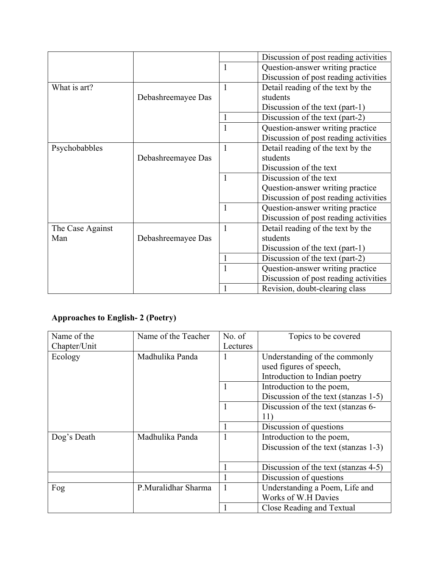|                  |                    |              | Discussion of post reading activities |
|------------------|--------------------|--------------|---------------------------------------|
|                  |                    | 1            | Question-answer writing practice      |
|                  |                    |              | Discussion of post reading activities |
| What is art?     |                    | $\mathbf{1}$ | Detail reading of the text by the     |
|                  | Debashreemayee Das |              | students                              |
|                  |                    |              | Discussion of the text (part-1)       |
|                  |                    |              | Discussion of the text (part-2)       |
|                  |                    |              | Question-answer writing practice      |
|                  |                    |              | Discussion of post reading activities |
| Psychobabbles    |                    | $\mathbf{1}$ | Detail reading of the text by the     |
|                  | Debashreemayee Das |              | students                              |
|                  |                    |              | Discussion of the text                |
|                  |                    | 1            | Discussion of the text                |
|                  |                    |              | Question-answer writing practice      |
|                  |                    |              | Discussion of post reading activities |
|                  |                    | $\mathbf{1}$ | Question-answer writing practice      |
|                  |                    |              | Discussion of post reading activities |
| The Case Against |                    | $\mathbf{1}$ | Detail reading of the text by the     |
| Man              | Debashreemayee Das |              | students                              |
|                  |                    |              | Discussion of the text (part-1)       |
|                  |                    |              | Discussion of the text (part-2)       |
|                  |                    | $\mathbf{1}$ | Question-answer writing practice      |
|                  |                    |              | Discussion of post reading activities |
|                  |                    |              | Revision, doubt-clearing class        |

# **Approaches to English- 2 (Poetry)**

| Name of the  | Name of the Teacher | No. of   | Topics to be covered                 |
|--------------|---------------------|----------|--------------------------------------|
| Chapter/Unit |                     | Lectures |                                      |
| Ecology      | Madhulika Panda     |          | Understanding of the commonly        |
|              |                     |          | used figures of speech,              |
|              |                     |          | Introduction to Indian poetry        |
|              |                     |          | Introduction to the poem,            |
|              |                     |          | Discussion of the text (stanzas 1-5) |
|              |                     |          | Discussion of the text (stanzas 6-   |
|              |                     |          | 11)                                  |
|              |                     |          | Discussion of questions              |
| Dog's Death  | Madhulika Panda     |          | Introduction to the poem,            |
|              |                     |          | Discussion of the text (stanzas 1-3) |
|              |                     |          |                                      |
|              |                     |          | Discussion of the text (stanzas 4-5) |
|              |                     |          | Discussion of questions              |
| Fog          | P.Muralidhar Sharma |          | Understanding a Poem, Life and       |
|              |                     |          | Works of W.H Davies                  |
|              |                     |          | Close Reading and Textual            |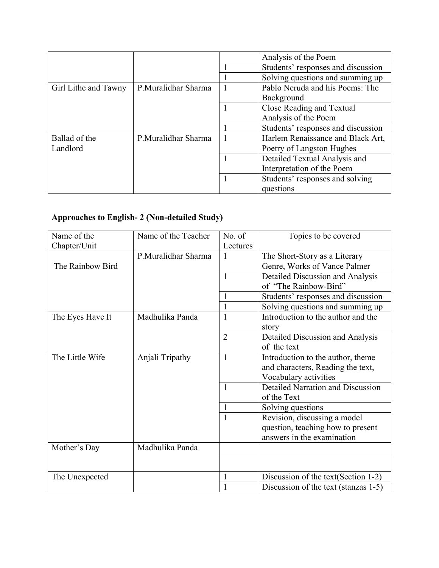|                      |                     | Analysis of the Poem               |
|----------------------|---------------------|------------------------------------|
|                      |                     | Students' responses and discussion |
|                      |                     | Solving questions and summing up   |
| Girl Lithe and Tawny | P.Muralidhar Sharma | Pablo Neruda and his Poems: The    |
|                      |                     | Background                         |
|                      |                     | Close Reading and Textual          |
|                      |                     | Analysis of the Poem               |
|                      |                     | Students' responses and discussion |
| Ballad of the        | P.Muralidhar Sharma | Harlem Renaissance and Black Art,  |
| Landlord             |                     | Poetry of Langston Hughes          |
|                      |                     | Detailed Textual Analysis and      |
|                      |                     | Interpretation of the Poem         |
|                      |                     | Students' responses and solving    |
|                      |                     | questions                          |

## **Approaches to English- 2 (Non-detailed Study)**

| Name of the      | Name of the Teacher | No. of         | Topics to be covered                     |
|------------------|---------------------|----------------|------------------------------------------|
| Chapter/Unit     |                     | Lectures       |                                          |
|                  | P.Muralidhar Sharma | 1              | The Short-Story as a Literary            |
| The Rainbow Bird |                     |                | Genre, Works of Vance Palmer             |
|                  |                     | $\mathbf{1}$   | Detailed Discussion and Analysis         |
|                  |                     |                | of "The Rainbow-Bird"                    |
|                  |                     |                | Students' responses and discussion       |
|                  |                     |                | Solving questions and summing up         |
| The Eyes Have It | Madhulika Panda     | 1              | Introduction to the author and the       |
|                  |                     |                | story                                    |
|                  |                     | $\overline{2}$ | Detailed Discussion and Analysis         |
|                  |                     |                | of the text                              |
| The Little Wife  | Anjali Tripathy     | $\mathbf{1}$   | Introduction to the author, theme        |
|                  |                     |                | and characters, Reading the text,        |
|                  |                     |                | Vocabulary activities                    |
|                  |                     | 1              | <b>Detailed Narration and Discussion</b> |
|                  |                     |                | of the Text                              |
|                  |                     |                | Solving questions                        |
|                  |                     |                | Revision, discussing a model             |
|                  |                     |                | question, teaching how to present        |
|                  |                     |                | answers in the examination               |
| Mother's Day     | Madhulika Panda     |                |                                          |
|                  |                     |                |                                          |
|                  |                     |                |                                          |
| The Unexpected   |                     | 1              | Discussion of the text (Section 1-2)     |
|                  |                     |                | Discussion of the text (stanzas 1-5)     |